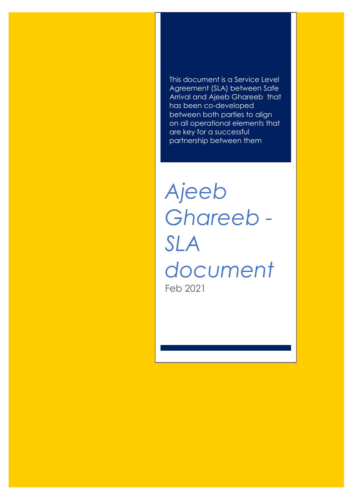This document is a Service Level Agreement (SLA) between Safe Arrival and Ajeeb Ghareeb that has been co-developed between both parties to align on all operational elements that are key for a successful partnership between them

*Ajeeb Ghareeb - SLA document* Feb 2021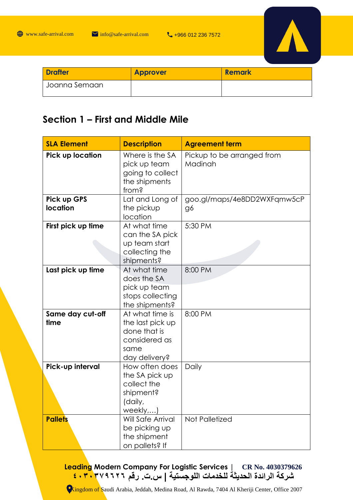

| <b>Drafter</b> | <b>Approver</b> | <b>Remark</b> |
|----------------|-----------------|---------------|
| Joanna Semaan  |                 |               |

#### **Section 1 – First and Middle Mile**

| <b>SLA Element</b>             | <b>Description</b>                                                                            | <b>Agreement term</b>                 |
|--------------------------------|-----------------------------------------------------------------------------------------------|---------------------------------------|
| Pick up location               | Where is the SA<br>pick up team<br>going to collect<br>the shipments<br>from?                 | Pickup to be arranged from<br>Madinah |
| Pick up GPS<br><b>location</b> | Lat and Long of<br>the pickup<br>location                                                     | goo.gl/maps/4e8DD2WXFqmw5cP<br>g6     |
| First pick up time             | At what time<br>can the SA pick<br>up team start<br>collecting the<br>shipments?              | 5:30 PM                               |
| Last pick up time              | At what time<br>does the SA<br>pick up team<br>stops collecting<br>the shipments?             | 8:00 PM                               |
| Same day cut-off<br>time       | At what time is<br>the last pick up<br>done that is<br>considered as<br>same<br>day delivery? | 8:00 PM                               |
| Pick-up interval               | How often does<br>the SA pick up<br>collect the<br>shipment?<br>(daily,<br>weekly)            | Daily                                 |
| <b>Pallets</b>                 | <b>Will Safe Arrival</b><br>be picking up<br>the shipment<br>on pallets? If                   | Not Palletized                        |

**Leading Modern Company For Logistic Services | CR No. 4030379626 شركة الرائدة الحديثة للخدمات اللوجستية | س.ت. رقم ٤٠٣٠٣٧٩٦٢٦**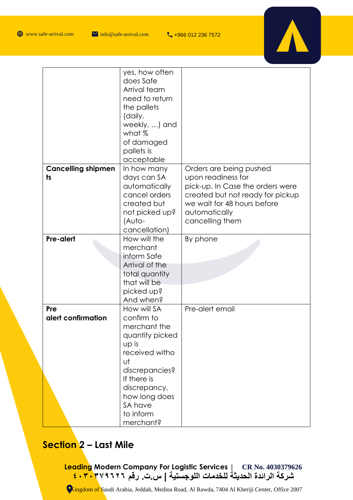$\bigoplus$  www.safe-arrival.com  $\blacksquare$  info@safe-arrival.com  $\blacksquare$  +966 012 236 7572



|                                 | yes, how often<br>does Safe<br>Arrival team<br>need to return<br>the pallets<br>(daily,<br>weekly, ) and<br>what %<br>of damaged<br>pallets is<br>acceptable                                         |                                                                                                                                                                                          |
|---------------------------------|------------------------------------------------------------------------------------------------------------------------------------------------------------------------------------------------------|------------------------------------------------------------------------------------------------------------------------------------------------------------------------------------------|
| <b>Cancelling shipmen</b><br>ts | In how many<br>days can SA<br>automatically<br>cancel orders<br>created but<br>not picked up?<br>(Auto-<br>cancellation)                                                                             | Orders are being pushed<br>upon readiness for<br>pick-up. In Case the orders were<br>created but not ready for pickup<br>we wait for 48 hours before<br>automatically<br>cancelling them |
| Pre-alert                       | How will the<br>merchant<br>inform Safe<br>Arrival of the<br>total quantity<br>that will be<br>picked up?<br>And when?                                                                               | By phone                                                                                                                                                                                 |
| Pre<br>alert confirmation       | How will SA<br>confirm to<br>merchant the<br>quantity picked<br>up is<br>received witho<br>υt<br>discrepancies?<br>If there is<br>discrepancy,<br>how long does<br>SA have<br>to inform<br>merchant? | Pre-alert email                                                                                                                                                                          |

## **Section 2 – Last Mile**

**Leading Modern Company For Logistic Services | CR No. 4030379626 شركة الرائدة الحديثة للخدمات اللوجستية | س.ت. رقم ٤٠٣٠٣٧٩٦٢٦**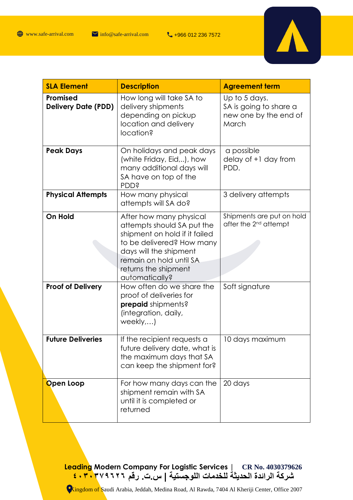

| <b>SLA Element</b>                     | <b>Description</b>                                                                                                                                                                                                 | <b>Agreement term</b>                                                     |
|----------------------------------------|--------------------------------------------------------------------------------------------------------------------------------------------------------------------------------------------------------------------|---------------------------------------------------------------------------|
| Promised<br><b>Delivery Date (PDD)</b> | How long will take SA to<br>delivery shipments<br>depending on pickup<br>location and delivery<br>location?                                                                                                        | Up to 5 days.<br>SA is going to share a<br>new one by the end of<br>March |
| <b>Peak Days</b>                       | On holidays and peak days<br>(white Friday, Eid,), how<br>many additional days will<br>SA have on top of the<br><b>PDD?</b>                                                                                        | a possible<br>delay of +1 day from<br>PDD.                                |
| <b>Physical Attempts</b>               | How many physical<br>attempts will SA do?                                                                                                                                                                          | 3 delivery attempts                                                       |
| On Hold                                | After how many physical<br>attempts should SA put the<br>shipment on hold if it failed<br>to be delivered? How many<br>days will the shipment<br>remain on hold until SA<br>returns the shipment<br>automatically? | Shipments are put on hold<br>after the 2 <sup>nd</sup> attempt            |
| <b>Proof of Delivery</b>               | How often do we share the<br>proof of deliveries for<br>prepaid shipments?<br>(integration, daily,<br>weekly)                                                                                                      | Soft signature                                                            |
| <b>Future Deliveries</b>               | If the recipient requests a<br>future delivery date, what is<br>the maximum days that SA<br>can keep the shipment for?                                                                                             | 10 days maximum                                                           |
| Open Loop                              | For how many days can the<br>shipment remain with SA<br>until it is completed or<br>returned                                                                                                                       | 20 days                                                                   |

**Leading Modern Company For Logistic Services | CR No. 4030379626 شركة الرائدة الحديثة للخدمات اللوجستية | س.ت. رقم ٤٠٣٠٣٧٩٦٢٦**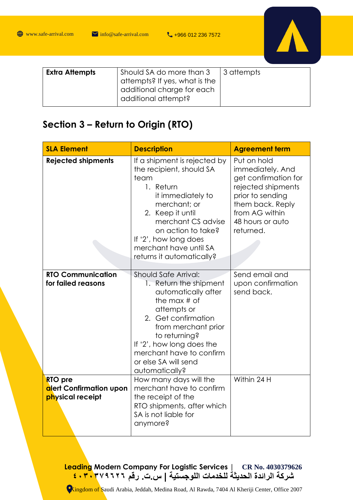

| Should SA do more than 3<br>  3 attempts<br><b>Extra Attempts</b><br><sup>1</sup> attempts? If yes, what is the<br>additional charge for each<br>additional attempt? |  |
|----------------------------------------------------------------------------------------------------------------------------------------------------------------------|--|
|----------------------------------------------------------------------------------------------------------------------------------------------------------------------|--|

### **Section 3 – Return to Origin (RTO)**

| <b>SLA Element</b>                                     | <b>Description</b>                                                                                                                                                                                                                                                       | <b>Agreement term</b>                                                                                                                                                    |
|--------------------------------------------------------|--------------------------------------------------------------------------------------------------------------------------------------------------------------------------------------------------------------------------------------------------------------------------|--------------------------------------------------------------------------------------------------------------------------------------------------------------------------|
| <b>Rejected shipments</b>                              | If a shipment is rejected by<br>the recipient, should SA<br>team<br>1. Return<br>it immediately to<br>merchant; or<br>2. Keep it until<br>merchant CS advise<br>on action to take?<br>If '2', how long does<br>merchant have until SA<br>returns it automatically?       | Put on hold<br>immediately. And<br>get confirmation for<br>rejected shipments<br>prior to sending<br>them back. Reply<br>from AG within<br>48 hours or auto<br>returned. |
| <b>RTO Communication</b><br>for failed reasons         | Should Safe Arrival:<br>1. Return the shipment<br>automatically after<br>the max $#$ of<br>attempts or<br>2. Get confirmation<br>from merchant prior<br>to returning?<br>If '2', how long does the<br>merchant have to confirm<br>or else SA will send<br>automatically? | Send email and<br>upon confirmation<br>send back.                                                                                                                        |
| RTO pre<br>alert Confirmation upon<br>physical receipt | How many days will the<br>merchant have to confirm<br>the receipt of the<br>RTO shipments, after which<br>SA is not liable for<br>anymore?                                                                                                                               | Within 24 H                                                                                                                                                              |

**Leading Modern Company For Logistic Services | CR No. 4030379626 شركة الرائدة الحديثة للخدمات اللوجستية | س.ت. رقم ٤٠٣٠٣٧٩٦٢٦**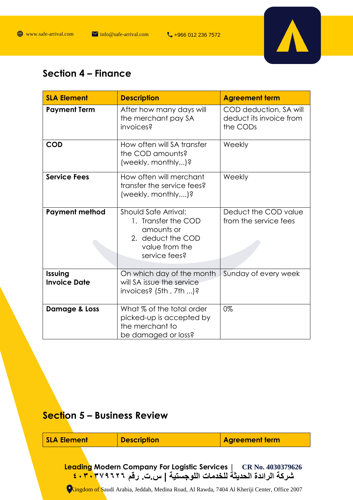

## **Section 4 – Finance**

| <b>SLA Element</b>             | <b>Description</b>                                                                                                | <b>Agreement term</b>                                         |
|--------------------------------|-------------------------------------------------------------------------------------------------------------------|---------------------------------------------------------------|
| <b>Payment Term</b>            | After how many days will<br>the merchant pay SA<br>invoices?                                                      | COD deduction, SA will<br>deduct its invoice from<br>the CODs |
| <b>COD</b>                     | How often will SA transfer<br>the COD amounts?<br>(weekly, monthly,)?                                             | Weekly                                                        |
| <b>Service Fees</b>            | How often will merchant<br>transfer the service fees?<br>(weekly, monthly,)?                                      | Weekly                                                        |
| <b>Payment method</b>          | Should Safe Arrival:<br>1. Transfer the COD<br>amounts or<br>2. deduct the COD<br>value from the<br>service fees? | Deduct the COD value<br>from the service fees                 |
| Issuing<br><b>Invoice Date</b> | On which day of the month<br>will SA issue the service<br>invoices? $(5th, 7th, )$ ?                              | Sunday of every week                                          |
| Damage & Loss                  | What % of the total order<br>picked-up is accepted by<br>the merchant to<br>be damaged or loss?                   | 0%                                                            |

# **Section 5 – Business Review**

| <b>SLA Element</b> | <b>Description</b>                                                                                                                                                                                                                  | <b>Agreement term</b> |
|--------------------|-------------------------------------------------------------------------------------------------------------------------------------------------------------------------------------------------------------------------------------|-----------------------|
|                    | Leading Modern Company For Logistic Services   CR No. 4030379626<br>شركة الرائدة الحديثة للخدمات اللوجستية   س_ت_ رقم ٢٧٩٦٢٦ . ٤٠٣٠<br>Ckingdom of Saudi Arabia, Jeddah, Medina Road, Al Rawda, 7404 Al Kheriji Center, Office 2007 |                       |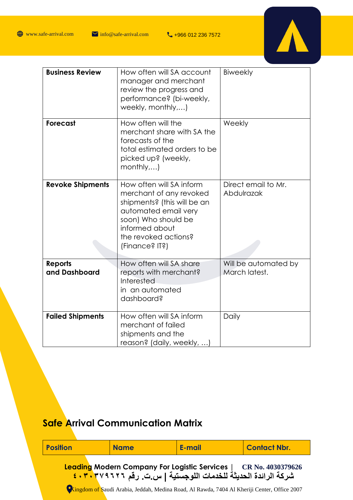

| <b>Business Review</b>          | How often will SA account<br>manager and merchant<br>review the progress and<br>performance? (bi-weekly,<br>weekly, monthly,)                                                                 | <b>Biweekly</b>                       |
|---------------------------------|-----------------------------------------------------------------------------------------------------------------------------------------------------------------------------------------------|---------------------------------------|
| <b>Forecast</b>                 | How often will the<br>merchant share with SA the<br>forecasts of the<br>total estimated orders to be<br>picked up? (weekly,<br>month[y,]                                                      | Weekly                                |
| <b>Revoke Shipments</b>         | How often will SA inform<br>merchant of any revoked<br>shipments? (this will be an<br>automated email very<br>soon) Who should be<br>informed about<br>the revoked actions?<br>(Finance? IT?) | Direct email to Mr.<br>Abdulrazak     |
| <b>Reports</b><br>and Dashboard | How often will SA share<br>reports with merchant?<br>Interested<br>in an automated<br>dashboard?                                                                                              | Will be automated by<br>March latest. |
| <b>Failed Shipments</b>         | How often will SA inform<br>merchant of failed<br>shipments and the<br>reason? (daily, weekly, )                                                                                              | Daily                                 |

# **Safe Arrival Communication Matrix**

| <b>Position</b>                                                                                                                   | <b>Name</b> | E-mail                                                                                      | <b>Contact Nbr.</b> |
|-----------------------------------------------------------------------------------------------------------------------------------|-------------|---------------------------------------------------------------------------------------------|---------------------|
| Leading Modern Company For Logistic Services   CR No. 4030379626<br>شركة الرائدة الحديثة للخدمات اللوجستية   س_ت_ رقم ٢٧٩٦٢٦ . ٣٠ |             |                                                                                             |                     |
|                                                                                                                                   |             | Cingdom of Saudi Arabia, Jeddah, Medina Road, Al Rawda, 7404 Al Kheriji Center, Office 2007 |                     |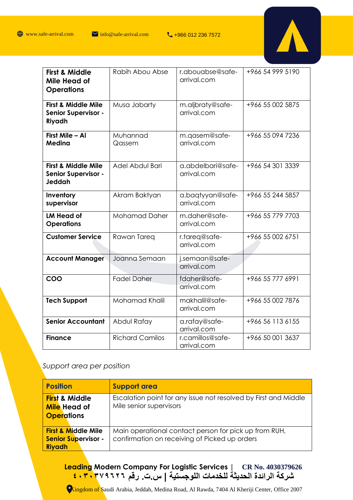

| <b>First &amp; Middle</b><br>Mile Head of<br><b>Operations</b>         | Rabih Abou Abse        | r.abouabse@safe-<br>arrival.com  | +966 54 999 5190 |
|------------------------------------------------------------------------|------------------------|----------------------------------|------------------|
| <b>First &amp; Middle Mile</b><br><b>Senior Supervisor -</b><br>Riyadh | Musa Jabarty           | m.aljbraty@safe-<br>arrival.com  | +966 55 002 5875 |
| First Mile - Al<br>Medina                                              | Muhannad<br>Qassem     | m.qasem@safe-<br>arrival.com     | +966 55 094 7236 |
| <b>First &amp; Middle Mile</b><br><b>Senior Supervisor -</b><br>Jeddah | Adel Abdul Bari        | a.abdelbari@safe-<br>arrival.com | +966 54 301 3339 |
| Inventory<br>supervisor                                                | Akram Baktyan          | a.baqtyyan@safe-<br>arrival.com  | +966 55 244 5857 |
| <b>LM Head of</b><br><b>Operations</b>                                 | <b>Mohamad Daher</b>   | m.daher@safe-<br>arrival.com     | +966 55 779 7703 |
| <b>Customer Service</b>                                                | Rawan Tareq            | r.tareq@safe-<br>arrival.com     | +966 55 002 6751 |
| <b>Account Manager</b>                                                 | Joanna Semaan          | j.semaan@safe-<br>arrival.com    |                  |
| COO                                                                    | <b>Fadel Daher</b>     | fdaher@safe-<br>arrival.com      | +966 55 777 6991 |
| <b>Tech Support</b>                                                    | Mohamad Khalil         | makhalil@safe-<br>arrival.com    | +966 55 002 7876 |
| <b>Senior Accountant</b>                                               | Abdul Rafay            | a.rafay@safe-<br>arrival.com     | +966 56 113 6155 |
| <b>Finance</b>                                                         | <b>Richard Camilos</b> | r.camillos@safe-<br>arrival.com  | +966 50 001 3637 |

#### *Support area per position*

| <b>Position</b>                                                               | <b>Support area</b>                                                                                    |
|-------------------------------------------------------------------------------|--------------------------------------------------------------------------------------------------------|
| <b>First &amp; Middle</b><br><b>Mile</b> Head of<br><b>Operations</b>         | Escalation point for any issue not resolved by First and Middle<br>Mile senior supervisors             |
| <b>First &amp; Middle Mile</b><br><b>Senior Supervisor -</b><br><b>Riyadh</b> | Main operational contact person for pick up from RUH,<br>confirmation on receiving of Picked up orders |

**Leading Modern Company For Logistic Services | CR No. 4030379626 شركة الرائدة الحديثة للخدمات اللوجستية | س.ت. رقم ٤٠٣٠٣٧٩٦٢٦**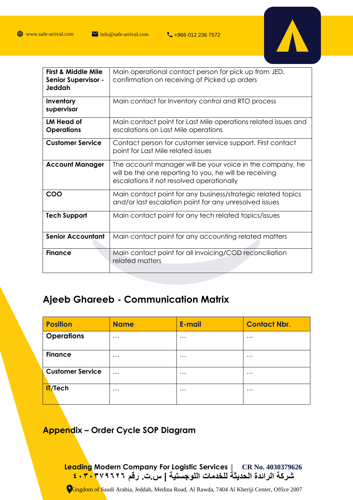

| <b>First &amp; Middle Mile</b><br><b>Senior Supervisor -</b><br>Jeddah | Main operational contact person for pick up from JED,<br>confirmation on receiving of Picked up orders                                                           |  |  |
|------------------------------------------------------------------------|------------------------------------------------------------------------------------------------------------------------------------------------------------------|--|--|
| Inventory<br>supervisor                                                | Main contact for Inventory control and RTO process                                                                                                               |  |  |
| LM Head of<br><b>Operations</b>                                        | Main contact point for Last Mile operations related issues and<br>escalations on Last Mile operations                                                            |  |  |
| <b>Customer Service</b>                                                | Contact person for customer service support. First contact<br>point for Last Mile related issues                                                                 |  |  |
| <b>Account Manager</b>                                                 | The account manager will be your voice in the company, he<br>will be the one reporting to you, he will be receiving<br>escalations if not resolved operationally |  |  |
| COO                                                                    | Main contact point for any business/strategic related topics<br>and/or last escalation point for any unresolved issues                                           |  |  |
| <b>Tech Support</b>                                                    | Main contact point for any tech related topics/issues                                                                                                            |  |  |
| <b>Senior Accountant</b>                                               | Main contact point for any accounting related matters                                                                                                            |  |  |
| <b>Finance</b>                                                         | Main contact point for all invoicing/COD reconciliation<br>related matters                                                                                       |  |  |

## **Ajeeb Ghareeb - Communication Matrix**

| <b>Position</b>         | <b>Name</b> | <b>E-mail</b> | <b>Contact Nbr.</b> |
|-------------------------|-------------|---------------|---------------------|
| <b>Operations</b>       | $\cdots$    | $\cdots$      | $\cdots$            |
| <b>Finance</b>          | $\cdots$    | $\cdots$      | $\cdots$            |
| <b>Customer Service</b> | $\cdots$    | $\cdots$      | $\cdots$            |
| <b>IT/Tech</b>          | $\cdots$    | $\cdots$      | $\cdots$            |

#### **Appendix – Order Cycle SOP Diagram**

**Leading Modern Company For Logistic Services | CR No. 4030379626 شركة الرائدة الحديثة للخدمات اللوجستية | س.ت. رقم ٤٠٣٠٣٧٩٦٢٦**